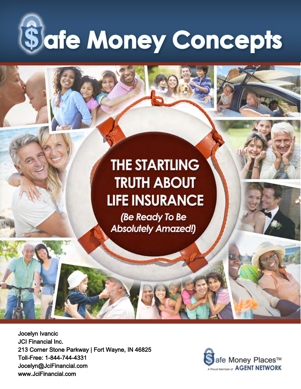

## **THE STARTLING TRUTH ABOUT LIFE INSURANCE**

(Be Ready To Be **Absolutely Amazed!)** 

Jocelyn Ivancic JCI Financial Inc. 213 Corner Stone Parkway | Fort Wayne, IN 46825 Toll-Free: 1-844-744-4331 Jocelyn@JciFinancial.com www.JciFinancial.com

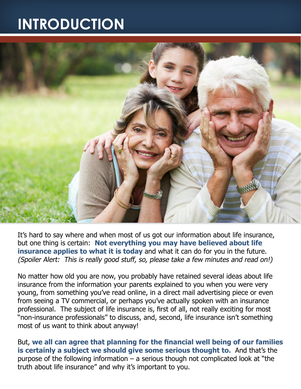## **INTRODUCTION**



It's hard to say where and when most of us got our information about life insurance, but one thing is certain: **Not everything you may have believed about life insurance applies to what it is today** and what it can do for you in the future. (Spoiler Alert: This is really good stuff, so, please take a few minutes and read on!)

No matter how old you are now, you probably have retained several ideas about life insurance from the information your parents explained to you when you were very young, from something you've read online, in a direct mail advertising piece or even from seeing a TV commercial, or perhaps you've actually spoken with an insurance professional. The subject of life insurance is, first of all, not really exciting for most "non-insurance professionals" to discuss, and, second, life insurance isn't something most of us want to think about anyway!

But, **we all can agree that planning for the financial well being of our families is certainly a subject we should give some serious thought to.** And that's the purpose of the following information  $-$  a serious though not complicated look at "the truth about life insurance" and why it's important to you.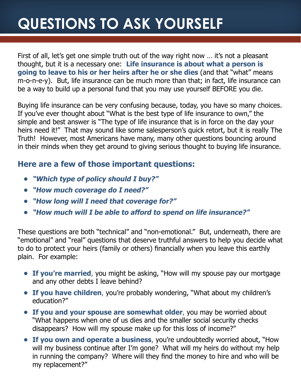## **QUESTIONS TO ASK YOURSELF**

First of all, let's get one simple truth out of the way right now ... it's not a pleasant thought, but it is a necessary one: **Life insurance is about what a person is going to leave to his or her heirs after he or she dies** (and that "what" means m-o-n-e-y). But, life insurance can be much more than that; in fact, life insurance can be a way to build up a personal fund that you may use yourself BEFORE you die.

Buying life insurance can be very confusing because, today, you have so many choices. If you've ever thought about "What is the best type of life insurance to own," the simple and best answer is "The type of life insurance that is in force on the day your heirs need it!" That may sound like some salesperson's quick retort, but it is really The Truth! However, most Americans have many, many other questions bouncing around in their minds when they get around to giving serious thought to buying life insurance.

#### **Here are a few of those important questions:**

- **• "Which type of policy should I buy?"**
- **• "How much coverage do I need?"**
- **• "How long will I need that coverage for?"**
- **• "How much will I be able to afford to spend on life insurance?"**

These questions are both "technical" and "non-emotional." But, underneath, there are "emotional" and "real" questions that deserve truthful answers to help you decide what to do to protect your heirs (family or others) financially when you leave this earthly plain. For example:

- **• If you're married**, you might be asking, "How will my spouse pay our mortgage and any other debts I leave behind?
- **• If you have children**, you're probably wondering, "What about my children's education?"
- **• If you and your spouse are somewhat older**, you may be worried about "What happens when one of us dies and the smaller social security checks disappears? How will my spouse make up for this loss of income?"
- **• If you own and operate a business**, you're undoubtedly worried about, "How will my business continue after I'm gone? What will my heirs do without my help in running the company? Where will they find the money to hire and who will be my replacement?"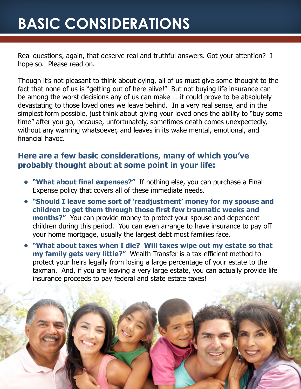## **BASIC CONSIDERATIONS**

Real questions, again, that deserve real and truthful answers. Got your attention? I hope so. Please read on.

Though it's not pleasant to think about dying, all of us must give some thought to the fact that none of us is "getting out of here alive!" But not buying life insurance can be among the worst decisions any of us can make … it could prove to be absolutely devastating to those loved ones we leave behind. In a very real sense, and in the simplest form possible, just think about giving your loved ones the ability to "buy some time" after you go, because, unfortunately, sometimes death comes unexpectedly, without any warning whatsoever, and leaves in its wake mental, emotional, and financial havoc.

### **Here are a few basic considerations, many of which you've probably thought about at some point in your life:**

- **• "What about final expenses?"** If nothing else, you can purchase a Final Expense policy that covers all of these immediate needs.
- **• "Should I leave some sort of 'readjustment' money for my spouse and children to get them through those first few traumatic weeks and months?"** You can provide money to protect your spouse and dependent children during this period. You can even arrange to have insurance to pay off your home mortgage, usually the largest debt most families face.
- **• "What about taxes when I die? Will taxes wipe out my estate so that my family gets very little?"** Wealth Transfer is a tax-efficient method to protect your heirs legally from losing a large percentage of your estate to the taxman. And, if you are leaving a very large estate, you can actually provide life insurance proceeds to pay federal and state estate taxes!

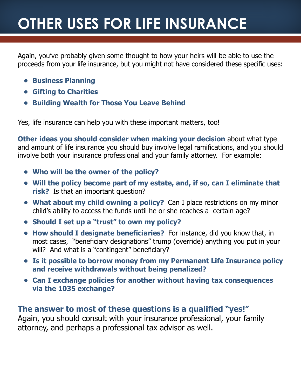## **OTHER USES FOR LIFE INSURANCE**

Again, you've probably given some thought to how your heirs will be able to use the proceeds from your life insurance, but you might not have considered these specific uses:

- **• Business Planning**
- **• Gifting to Charities**
- **• Building Wealth for Those You Leave Behind**

Yes, life insurance can help you with these important matters, too!

**Other ideas you should consider when making your decision** about what type and amount of life insurance you should buy involve legal ramifications, and you should involve both your insurance professional and your family attorney. For example:

- **• Who will be the owner of the policy?**
- **• Will the policy become part of my estate, and, if so, can I eliminate that risk?** Is that an important question?
- **• What about my child owning a policy?** Can I place restrictions on my minor child's ability to access the funds until he or she reaches a certain age?
- **• Should I set up a "trust" to own my policy?**
- **• How should I designate beneficiaries?** For instance, did you know that, in most cases, "beneficiary designations" trump (override) anything you put in your will? And what is a "contingent" beneficiary?
- **• Is it possible to borrow money from my Permanent Life Insurance policy and receive withdrawals without being penalized?**
- **• Can I exchange policies for another without having tax consequences via the 1035 exchange?**

#### **The answer to most of these questions is a qualified "yes!"**

Again, you should consult with your insurance professional, your family attorney, and perhaps a professional tax advisor as well.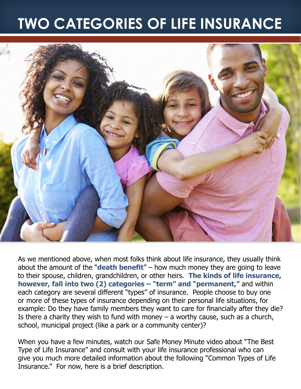## **TWO CATEGORIES OF LIFE INSURANCE**



As we mentioned above, when most folks think about life insurance, they usually think about the amount of the "**death benefit**" – how much money they are going to leave to their spouse, children, grandchildren, or other heirs. **The kinds of life insurance, however, fall into two (2) categories – "term" and "permanent,"** and within each category are several different "types" of insurance. People choose to buy one or more of these types of insurance depending on their personal life situations, for example: Do they have family members they want to care for financially after they die? Is there a charity they wish to fund with money  $-$  a worthy cause, such as a church, school, municipal project (like a park or a community center)?

When you have a few minutes, watch our Safe Money Minute video about "The Best Type of Life Insurance" and consult with your life insurance professional who can give you much more detailed information about the following "Common Types of Life Insurance." For now, here is a brief description.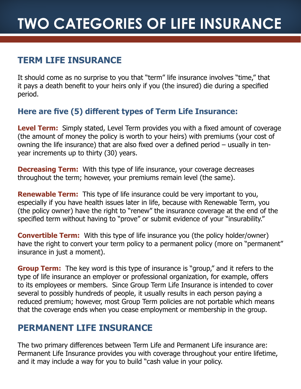### **Term Life Insurance**

It should come as no surprise to you that "term" life insurance involves "time," that it pays a death benefit to your heirs only if you (the insured) die during a specified period.

### **Here are five (5) different types of Term Life Insurance:**

**Level Term:** Simply stated, Level Term provides you with a fixed amount of coverage (the amount of money the policy is worth to your heirs) with premiums (your cost of owning the life insurance) that are also fixed over a defined period – usually in tenyear increments up to thirty (30) years.

**Decreasing Term:** With this type of life insurance, your coverage decreases throughout the term; however, your premiums remain level (the same).

**Renewable Term:** This type of life insurance could be very important to you, especially if you have health issues later in life, because with Renewable Term, you (the policy owner) have the right to "renew" the insurance coverage at the end of the specified term without having to "prove" or submit evidence of your "insurability."

**Convertible Term:** With this type of life insurance you (the policy holder/owner) have the right to convert your term policy to a permanent policy (more on "permanent" insurance in just a moment).

**Group Term:** The key word is this type of insurance is "group," and it refers to the type of life insurance an employer or professional organization, for example, offers to its employees or members. Since Group Term Life Insurance is intended to cover several to possibly hundreds of people, it usually results in each person paying a reduced premium; however, most Group Term policies are not portable which means that the coverage ends when you cease employment or membership in the group.

### **Permanent Life Insurance**

The two primary differences between Term Life and Permanent Life insurance are: Permanent Life Insurance provides you with coverage throughout your entire lifetime, and it may include a way for you to build "cash value in your policy.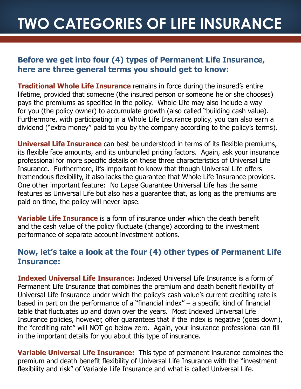## **TWO CATEGORIES OF LIFE INSURANCE**

#### **Before we get into four (4) types of Permanent Life Insurance, here are three general terms you should get to know:**

**Traditional Whole Life Insurance** remains in force during the insured's entire lifetime, provided that someone (the insured person or someone he or she chooses) pays the premiums as specified in the policy. Whole Life may also include a way for you (the policy owner) to accumulate growth (also called "building cash value). Furthermore, with participating in a Whole Life Insurance policy, you can also earn a dividend ("extra money" paid to you by the company according to the policy's terms).

**Universal Life Insurance** can best be understood in terms of its flexible premiums, its flexible face amounts, and its unbundled pricing factors. Again, ask your insurance professional for more specific details on these three characteristics of Universal Life Insurance. Furthermore, it's important to know that though Universal Life offers tremendous flexibility, it also lacks the guarantee that Whole Life Insurance provides. One other important feature: No Lapse Guarantee Universal Life has the same features as Universal Life but also has a guarantee that, as long as the premiums are paid on time, the policy will never lapse.

**Variable Life Insurance** is a form of insurance under which the death benefit and the cash value of the policy fluctuate (change) according to the investment performance of separate account investment options.

### **Now, let's take a look at the four (4) other types of Permanent Life Insurance:**

**Indexed Universal Life Insurance:** Indexed Universal Life Insurance is a form of Permanent Life Insurance that combines the premium and death benefit flexibility of Universal Life Insurance under which the policy's cash value's current crediting rate is based in part on the performance of a "financial index"  $-$  a specific kind of financial table that fluctuates up and down over the years. Most Indexed Universal Life Insurance policies, however, offer guarantees that if the index is negative (goes down), the "crediting rate" will NOT go below zero. Again, your insurance professional can fill in the important details for you about this type of insurance.

**Variable Universal Life Insurance:** This type of permanent insurance combines the premium and death benefit flexibility of Universal Life Insurance with the "investment flexibility and risk" of Variable Life Insurance and what is called Universal Life.